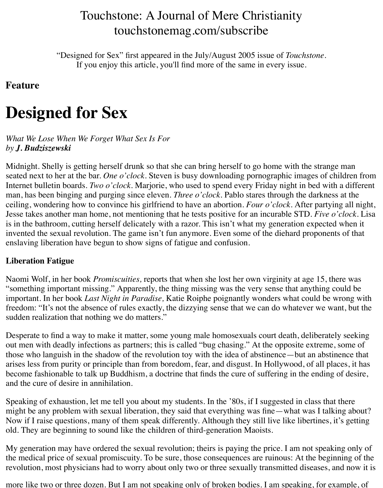#### **Feature**

# **Designed for Sex**

#### *What We Lose When We Forget What Sex Is For by J. Budziszewski*

Midnight. Shelly is getting herself drunk so that she can bring herself to go home with the stra seated next to her at the bar. *One o'clock*. Steven is busy downloading pornographic images of Internet bulletin boards. *Two o'clock*. Marjorie, who used to spend every Friday night in bed v man, has been binging and purging since eleven. *Three o'clock*. Pablo stares through the darki ceiling, wondering how to convince his girlfriend to have an abortion. *Four o'clock*. After par Jesse takes another man home, not mentioning that he tests positive for an incurable STD. Fiv is in the bathroom, cutting herself delicately with a razor. This isn't what my generation expected is in invented the sexual revolution. The game isn't fun anymore. Even some of the diehard proponents of the diehard enslaving liberation have begun to show signs of fatigue and confusion.

#### **Liberation Fatigue**

Naomi Wolf, in her book *Promiscuities*, reports that when she lost her own virginity at age 15 "something important missing." Apparently, the thing missing was the very sense that anythin important. In her book *Last Night in Paradise*, Katie Roiphe poignantly wonders what could b freedom: "It's not the absence of rules exactly, the dizzying sense that we can do whatever we sudden realization that nothing we do matters."

Desperate to find a way to make it matter, some young male homosexuals court death, deliber out men with deadly infections as partners; this is called "bug chasing." At the opposite extreme, some of  $\alpha$ those who languish in the shadow of the revolution toy with the idea of abstinence—but an ab arises less from purity or principle than from boredom, fear, and disgust. In Hollywood, of all become fashionable to talk up Buddhism, a doctrine that finds the cure of suffering in the ending and the cure of desire in annihilation.

Speaking of exhaustion, let me tell you about my students. In the '80s, if I suggested in class that might be any problem with sexual liberation, they said that everything was fine—what was I t Now if I raise questions, many of them speak differently. Although they still live like libertine old. They are beginning to sound like the children of third-generation Maoists.

My generation may have ordered the sexual revolution; theirs is paying the price. I am not spe the medical price of sexual promiscuity. To be sure, those consequences are ruinous: At the be revolution, most physicians had to worry about only two or three sexually transmitted disease;

more like two or three dozen. But I am not speaking only of broken bodies. I am speaking, for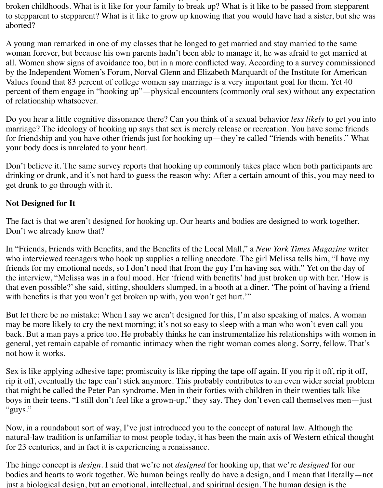more dozen. But i am not speaking only only of broken bodies. I am speaking only of  $\Gamma$ broken childhoods. What is it like for your family to break up? What is it like to be passed from stepparent to stepparent to stepparent? What is it like to grow up knowing that you would have had a sister, but she was aborted?

A young man remarked in one of my classes that he longed to get married and stay married to the same woman forever, but because his own parents hadn't been able to manage it, he was afraid to get married at all. Women show signs of avoidance too, but in a more conflicted way. According to a survey commissioned by the Independent Women's Forum, Norval Glenn and Elizabeth Marquardt of the Institute for American Values found that 83 percent of college women say marriage is a very important goal for them. Yet 40 percent of them engage in "hooking up"—physical encounters (commonly oral sex) without any expectation of relationship whatsoever.

Do you hear a little cognitive dissonance there? Can you think of a sexual behavior *less likely* to get you into marriage? The ideology of hooking up says that sex is merely release or recreation. You have some friends for friendship and you have other friends just for hooking up—they're called "friends with benefits." What your body does is unrelated to your heart.

Don't believe it. The same survey reports that hooking up commonly takes place when both participants are drinking or drunk, and it's not hard to guess the reason why: After a certain amount of this, you may need to get drunk to go through with it.

#### **Not Designed for It**

The fact is that we aren't designed for hooking up. Our hearts and bodies are designed to work together. Don't we already know that?

In "Friends, Friends with Benefits, and the Benefits of the Local Mall," a *New York Times Magazine* writer who interviewed teenagers who hook up supplies a telling anecdote. The girl Melissa tells him, "I have my friends for my emotional needs, so I don't need that from the guy I'm having sex with." Yet on the day of the interview, "Melissa was in a foul mood. Her 'friend with benefits' had just broken up with her. 'How is that even possible?' she said, sitting, shoulders slumped, in a booth at a diner. 'The point of having a friend with benefits is that you won't get broken up with, you won't get hurt."

But let there be no mistake: When I say we aren't designed for this, I'm also speaking of males. A woman may be more likely to cry the next morning; it's not so easy to sleep with a man who won't even call you back. But a man pays a price too. He probably thinks he can instrumentalize his relationships with women in general, yet remain capable of romantic intimacy when the right woman comes along. Sorry, fellow. That's not how it works.

Sex is like applying adhesive tape; promiscuity is like ripping the tape off again. If you rip it off, rip it off, rip it off, eventually the tape can't stick anymore. This probably contributes to an even wider social problem that might be called the Peter Pan syndrome. Men in their forties with children in their twenties talk like boys in their teens. "I still don't feel like a grown-up," they say. They don't even call themselves men—just "guys."

Now, in a roundabout sort of way, I've just introduced you to the concept of natural law. Although the natural-law tradition is unfamiliar to most people today, it has been the main axis of Western ethical thought for 23 centuries, and in fact it is experiencing a renaissance.

The hinge concept is *design.* I said that we're not *designed* for hooking up, that we're *designed* for our bodies and hearts to work together. We human beings really do have a design, and I mean that literally—not just a biological design, but an emotional, intellectual, and spiritual design. The human design is the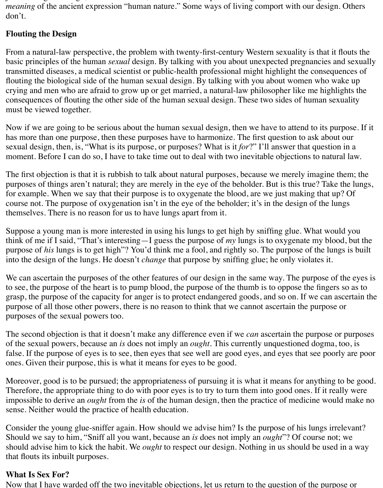just a biological design, intellectual, intellectual, and spiritual, and spiritual design. The human design is the h *meaning* of the ancient expression "human nature." Some ways of living comport with our design. Others don't.

# **Flouting the Design**

From a natural-law perspective, the problem with twenty-first-century Western sexuality is that it flouts the basic principles of the human *sexual* design. By talking with you about unexpected pregnancies and sexually transmitted diseases, a medical scientist or public-health professional might highlight the consequences of flouting the biological side of the human sexual design. By talking with you about women who wake up crying and men who are afraid to grow up or get married, a natural-law philosopher like me highlights the consequences of flouting the other side of the human sexual design. These two sides of human sexuality must be viewed together.

Now if we are going to be serious about the human sexual design, then we have to attend to its purpose. If it has more than one purpose, then these purposes have to harmonize. The first question to ask about our sexual design, then, is, "What is its purpose, or purposes? What is it *for*?" I'll answer that question in a moment. Before I can do so, I have to take time out to deal with two inevitable objections to natural law.

The first objection is that it is rubbish to talk about natural purposes, because we merely imagine them; the purposes of things aren't natural; they are merely in the eye of the beholder. But is this true? Take the lungs, for example. When we say that their purpose is to oxygenate the blood, are we just making that up? Of course not. The purpose of oxygenation isn't in the eye of the beholder; it's in the design of the lungs themselves. There is no reason for us to have lungs apart from it.

Suppose a young man is more interested in using his lungs to get high by sniffing glue. What would you think of me if I said, "That's interesting—I guess the purpose of *my* lungs is to oxygenate my blood, but the purpose of *his* lungs is to get high"? You'd think me a fool, and rightly so. The purpose of the lungs is built into the design of the lungs. He doesn't *change* that purpose by sniffing glue; he only violates it.

We can ascertain the purposes of the other features of our design in the same way. The purpose of the eyes is to see, the purpose of the heart is to pump blood, the purpose of the thumb is to oppose the fingers so as to grasp, the purpose of the capacity for anger is to protect endangered goods, and so on. If we can ascertain the purpose of all those other powers, there is no reason to think that we cannot ascertain the purpose or purposes of the sexual powers too.

The second objection is that it doesn't make any difference even if we *can* ascertain the purpose or purposes of the sexual powers, because an *is* does not imply an *ought.* This currently unquestioned dogma, too, is false. If the purpose of eyes is to see, then eyes that see well are good eyes, and eyes that see poorly are poor ones. Given their purpose, this is what it means for eyes to be good.

Moreover, good is to be pursued; the appropriateness of pursuing it is what it means for anything to be good. Therefore, the appropriate thing to do with poor eyes is to try to turn them into good ones. If it really were impossible to derive an *ought* from the *is* of the human design, then the practice of medicine would make no sense. Neither would the practice of health education.

Consider the young glue-sniffer again. How should we advise him? Is the purpose of his lungs irrelevant? Should we say to him, "Sniff all you want, because an *is* does not imply an *ought*"? Of course not; we should advise him to kick the habit. We *ought* to respect our design. Nothing in us should be used in a way that flouts its inbuilt purposes.

#### **What Is Sex For?**

Now that I have warded off the two inevitable objections, let us return to the question of the purpose or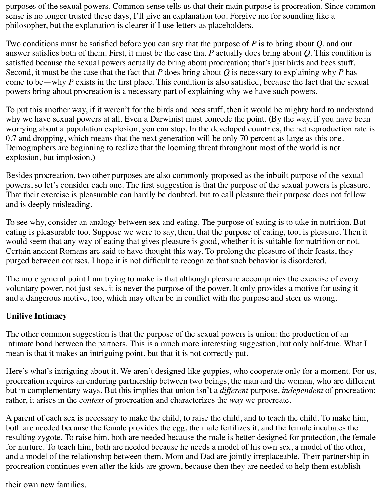$N$  have warded of the two interviewing the purpose of the purpose or the purpose or the purpose or the purpose or the purpose or the purpose or the purpose or the purpose or the purpose or the purpose or the purpose or t purposes of the sexual powers. Common sense tells us that their main purpose is procreation. Since common sense is no longer trusted these days, I'll give an explanation too. Forgive me for sounding like a philosopher, but the explanation is clearer if I use letters as placeholders.

Two conditions must be satisfied before you can say that the purpose of *P* is to bring about *Q,* and our answer satisfies both of them. First, it must be the case that *P* actually does bring about *Q.* This condition is satisfied because the sexual powers actually do bring about procreation; that's just birds and bees stuff. Second, it must be the case that the fact that *P* does bring about *Q* is necessary to explaining why *P* has come to be—why *P* exists in the first place. This condition is also satisfied, because the fact that the sexual powers bring about procreation is a necessary part of explaining why we have such powers.

To put this another way, if it weren't for the birds and bees stuff, then it would be mighty hard to understand why we have sexual powers at all. Even a Darwinist must concede the point. (By the way, if you have been worrying about a population explosion, you can stop. In the developed countries, the net reproduction rate is 0.7 and dropping, which means that the next generation will be only 70 percent as large as this one. Demographers are beginning to realize that the looming threat throughout most of the world is not explosion, but implosion.)

Besides procreation, two other purposes are also commonly proposed as the inbuilt purpose of the sexual powers, so let's consider each one. The first suggestion is that the purpose of the sexual powers is pleasure. That their exercise is pleasurable can hardly be doubted, but to call pleasure their purpose does not follow and is deeply misleading.

To see why, consider an analogy between sex and eating. The purpose of eating is to take in nutrition. But eating is pleasurable too. Suppose we were to say, then, that the purpose of eating, too, is pleasure. Then it would seem that any way of eating that gives pleasure is good, whether it is suitable for nutrition or not. Certain ancient Romans are said to have thought this way. To prolong the pleasure of their feasts, they purged between courses. I hope it is not difficult to recognize that such behavior is disordered.

The more general point I am trying to make is that although pleasure accompanies the exercise of every voluntary power, not just sex, it is never the purpose of the power. It only provides a motive for using it and a dangerous motive, too, which may often be in conflict with the purpose and steer us wrong.

#### **Unitive Intimacy**

The other common suggestion is that the purpose of the sexual powers is union: the production of an intimate bond between the partners. This is a much more interesting suggestion, but only half-true. What I mean is that it makes an intriguing point, but that it is not correctly put.

Here's what's intriguing about it. We aren't designed like guppies, who cooperate only for a moment. For us, procreation requires an enduring partnership between two beings, the man and the woman, who are different but in complementary ways. But this implies that union isn't a *different* purpose, *independent* of procreation; rather, it arises in the *context* of procreation and characterizes the *way* we procreate.

A parent of each sex is necessary to make the child, to raise the child, and to teach the child. To make him, both are needed because the female provides the egg, the male fertilizes it, and the female incubates the resulting zygote. To raise him, both are needed because the male is better designed for protection, the female for nurture. To teach him, both are needed because he needs a model of his own sex, a model of the other, and a model of the relationship between them. Mom and Dad are jointly irreplaceable. Their partnership in procreation continues even after the kids are grown, because then they are needed to help them establish

their own new families.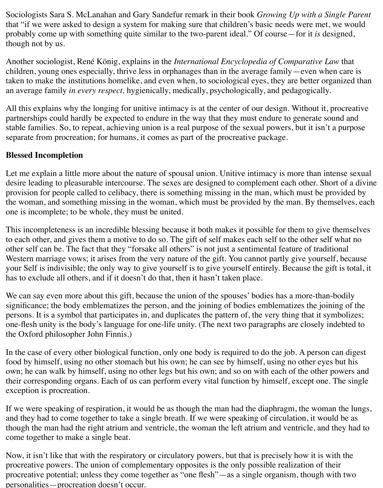Sociologists Sara S. McLanahan and Gary Sandefur remark in their book *Growing Up with a Single Parent* that "if we were asked to design a system for making sure that children's basic needs were met, we would probably come up with something quite similar to the two-parent ideal." Of course—for it *is* designed, though not by us.

Another sociologist, René König, explains in the *International Encyclopedia of Comparative Law* that children, young ones especially, thrive less in orphanages than in the average family—even when care is taken to make the institutions homelike, and even when, to sociological eyes, they are better organized than an average family *in every respect,* hygienically, medically, psychologically, and pedagogically.

All this explains why the longing for unitive intimacy is at the center of our design. Without it, procreative partnerships could hardly be expected to endure in the way that they must endure to generate sound and stable families. So, to repeat, achieving union is a real purpose of the sexual powers, but it isn't a purpose separate from procreation; for humans, it comes as part of the procreative package.

#### **Blessed Incompletion**

Let me explain a little more about the nature of spousal union. Unitive intimacy is more than intense sexual desire leading to pleasurable intercourse. The sexes are designed to complement each other. Short of a divine provision for people called to celibacy, there is something missing in the man, which must be provided by the woman, and something missing in the woman, which must be provided by the man. By themselves, each one is incomplete; to be whole, they must be united.

This incompleteness is an incredible blessing because it both makes it possible for them to give themselves to each other, and gives them a motive to do so. The gift of self makes each self to the other self what no other self can be. The fact that they "forsake all others" is not just a sentimental feature of traditional Western marriage vows; it arises from the very nature of the gift. You cannot partly give yourself, because your Self is indivisible; the only way to give yourself is to give yourself entirely. Because the gift is total, it has to exclude all others, and if it doesn't do that, then it hasn't taken place.

We can say even more about this gift, because the union of the spouses' bodies has a more-than-bodily significance; the body emblematizes the person, and the joining of bodies emblematizes the joining of the persons. It is a symbol that participates in, and duplicates the pattern of, the very thing that it symbolizes; one-flesh unity is the body's language for one-life unity. (The next two paragraphs are closely indebted to the Oxford philosopher John Finnis.)

In the case of every other biological function, only one body is required to do the job. A person can digest food by himself, using no other stomach but his own; he can see by himself, using no other eyes but his own; he can walk by himself, using no other legs but his own; and so on with each of the other powers and their corresponding organs. Each of us can perform every vital function by himself, except one. The single exception is procreation.

If we were speaking of respiration, it would be as though the man had the diaphragm, the woman the lungs, and they had to come together to take a single breath. If we were speaking of circulation, it would be as though the man had the right atrium and ventricle, the woman the left atrium and ventricle, and they had to come together to make a single beat.

Now, it isn't like that with the respiratory or circulatory powers, but that is precisely how it is with the procreative powers. The union of complementary opposites is the only possible realization of their procreative potential; unless they come together as "one flesh"—as a single organism, though with two personalities—procreation doesn't occur.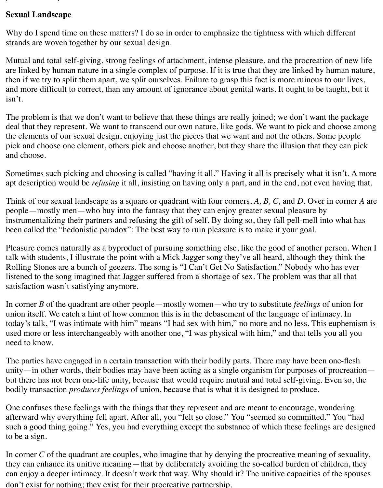# personalities—procreation doesn't occur.

# **Sexual Landscape**

Why do I spend time on these matters? I do so in order to emphasize the tightness with which different strands are woven together by our sexual design.

Mutual and total self-giving, strong feelings of attachment, intense pleasure, and the procreation of new life are linked by human nature in a single complex of purpose. If it is true that they are linked by human nature, then if we try to split them apart, we split ourselves. Failure to grasp this fact is more ruinous to our lives, and more difficult to correct, than any amount of ignorance about genital warts. It ought to be taught, but it isn't.

The problem is that we don't want to believe that these things are really joined; we don't want the package deal that they represent. We want to transcend our own nature, like gods. We want to pick and choose among the elements of our sexual design, enjoying just the pieces that we want and not the others. Some people pick and choose one element, others pick and choose another, but they share the illusion that they can pick and choose.

Sometimes such picking and choosing is called "having it all." Having it all is precisely what it isn't. A more apt description would be *refusing* it all, insisting on having only a part, and in the end, not even having that.

Think of our sexual landscape as a square or quadrant with four corners, *A, B, C,* and *D.* Over in corner *A* are people—mostly men—who buy into the fantasy that they can enjoy greater sexual pleasure by instrumentalizing their partners and refusing the gift of self. By doing so, they fall pell-mell into what has been called the "hedonistic paradox": The best way to ruin pleasure is to make it your goal.

Pleasure comes naturally as a byproduct of pursuing something else, like the good of another person. When I talk with students, I illustrate the point with a Mick Jagger song they've all heard, although they think the Rolling Stones are a bunch of geezers. The song is "I Can't Get No Satisfaction." Nobody who has ever listened to the song imagined that Jagger suffered from a shortage of sex. The problem was that all that satisfaction wasn't satisfying anymore.

In corner *B* of the quadrant are other people—mostly women—who try to substitute *feelings* of union for union itself. We catch a hint of how common this is in the debasement of the language of intimacy. In today's talk, "I was intimate with him" means "I had sex with him," no more and no less. This euphemism is used more or less interchangeably with another one, "I was physical with him," and that tells you all you need to know.

The parties have engaged in a certain transaction with their bodily parts. There may have been one-flesh unity—in other words, their bodies may have been acting as a single organism for purposes of procreation but there has not been one-life unity, because that would require mutual and total self-giving. Even so, the bodily transaction *produces feelings* of union, because that is what it is designed to produce.

One confuses these feelings with the things that they represent and are meant to encourage, wondering afterward why everything fell apart. After all, you "felt so close." You "seemed so committed." You "had such a good thing going." Yes, you had everything except the substance of which these feelings are designed to be a sign.

In corner *C* of the quadrant are couples, who imagine that by denying the procreative meaning of sexuality, they can enhance its unitive meaning—that by deliberately avoiding the so-called burden of children, they can enjoy a deeper intimacy. It doesn't work that way. Why should it? The unitive capacities of the spouses don't exist for nothing; they exist for their procreative partnership.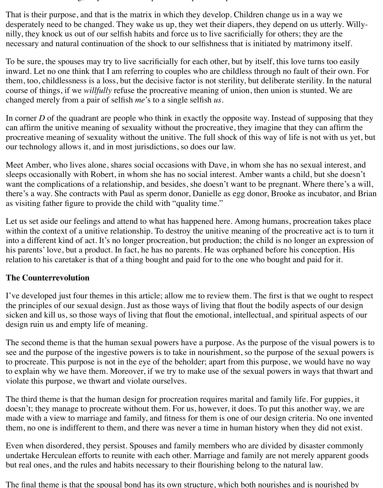don't exist for  $\mathbf{r}$  for the  $\mathbf{r}$  for the  $\mathbf{r}$ 

That is their purpose, and that is the matrix in which they develop. Children change us in a way we desperately need to be changed. They wake us up, they wet their diapers, they depend on us utterly. Willynilly, they knock us out of our selfish habits and force us to live sacrificially for others; they are the necessary and natural continuation of the shock to our selfishness that is initiated by matrimony itself.

To be sure, the spouses may try to live sacrificially for each other, but by itself, this love turns too easily inward. Let no one think that I am referring to couples who are childless through no fault of their own. For them, too, childlessness is a loss, but the decisive factor is not sterility, but deliberate sterility. In the natural course of things, if we *willfully* refuse the procreative meaning of union, then union is stunted. We are changed merely from a pair of selfish *me*'s to a single selfish *us.*

In corner *D* of the quadrant are people who think in exactly the opposite way. Instead of supposing that they can affirm the unitive meaning of sexuality without the procreative, they imagine that they can affirm the procreative meaning of sexuality without the unitive. The full shock of this way of life is not with us yet, but our technology allows it, and in most jurisdictions, so does our law.

Meet Amber, who lives alone, shares social occasions with Dave, in whom she has no sexual interest, and sleeps occasionally with Robert, in whom she has no social interest. Amber wants a child, but she doesn't want the complications of a relationship, and besides, she doesn't want to be pregnant. Where there's a will, there's a way. She contracts with Paul as sperm donor, Danielle as egg donor, Brooke as incubator, and Brian as visiting father figure to provide the child with "quality time."

Let us set aside our feelings and attend to what has happened here. Among humans, procreation takes place within the context of a unitive relationship. To destroy the unitive meaning of the procreative act is to turn it into a different kind of act. It's no longer procreation, but production; the child is no longer an expression of his parents' love, but a product. In fact, he has no parents. He was orphaned before his conception. His relation to his caretaker is that of a thing bought and paid for to the one who bought and paid for it.

#### **The Counterrevolution**

I've developed just four themes in this article; allow me to review them. The first is that we ought to respect the principles of our sexual design. Just as those ways of living that flout the bodily aspects of our design sicken and kill us, so those ways of living that flout the emotional, intellectual, and spiritual aspects of our design ruin us and empty life of meaning.

The second theme is that the human sexual powers have a purpose. As the purpose of the visual powers is to see and the purpose of the ingestive powers is to take in nourishment, so the purpose of the sexual powers is to procreate. This purpose is not in the eye of the beholder; apart from this purpose, we would have no way to explain why we have them. Moreover, if we try to make use of the sexual powers in ways that thwart and violate this purpose, we thwart and violate ourselves.

The third theme is that the human design for procreation requires marital and family life. For guppies, it doesn't; they manage to procreate without them. For us, however, it does. To put this another way, we are made with a view to marriage and family, and fitness for them is one of our design criteria. No one invented them, no one is indifferent to them, and there was never a time in human history when they did not exist.

Even when disordered, they persist. Spouses and family members who are divided by disaster commonly undertake Herculean efforts to reunite with each other. Marriage and family are not merely apparent goods but real ones, and the rules and habits necessary to their flourishing belong to the natural law.

The final theme is that the spousal bond has its own structure, which both nourishes and is nourished by